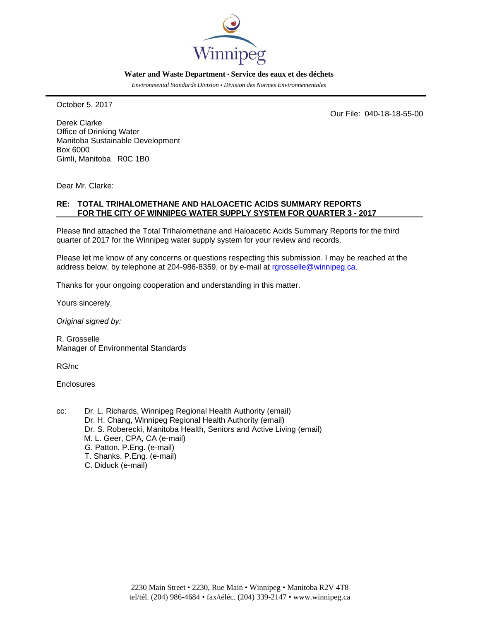

#### **Water and Waste Department • Service des eaux et des déchets**

*Environmental Standards Division • Division des Normes Environnementales* 

October 5, 2017

Our File: 040-18-18-55-00

Derek Clarke Office of Drinking Water Manitoba Sustainable Development Box 6000 Gimli, Manitoba R0C 1B0

Dear Mr. Clarke:

### **RE: TOTAL TRIHALOMETHANE AND HALOACETIC ACIDS SUMMARY REPORTS FOR THE CITY OF WINNIPEG WATER SUPPLY SYSTEM FOR QUARTER 3 - 2017**

Please find attached the Total Trihalomethane and Haloacetic Acids Summary Reports for the third quarter of 2017 for the Winnipeg water supply system for your review and records.

Please let me know of any concerns or questions respecting this submission. I may be reached at the address below, by telephone at 204-986-8359, or by e-mail at rarosselle@winnipeg.ca.

Thanks for your ongoing cooperation and understanding in this matter.

Yours sincerely,

*Original signed by:* 

R. Grosselle Manager of Environmental Standards

RG/nc

**Enclosures** 

cc: Dr. L. Richards, Winnipeg Regional Health Authority (email) Dr. H. Chang, Winnipeg Regional Health Authority (email) Dr. S. Roberecki, Manitoba Health, Seniors and Active Living (email) M. L. Geer, CPA, CA (e-mail) G. Patton, P.Eng. (e-mail) T. Shanks, P.Eng. (e-mail) C. Diduck (e-mail)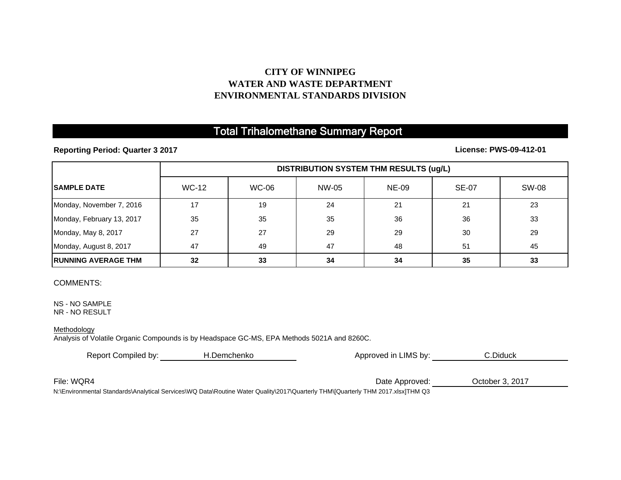# **CITY OF WINNIPEG WATER AND WASTE DEPARTMENTENVIRONMENTAL STANDARDS DIVISION**

# Total Trihalomethane Summary Report

**Reporting Period: Quarter 3 2017**

**License: PWS-09-412-01**

|                             | <b>DISTRIBUTION SYSTEM THM RESULTS (ug/L)</b> |              |       |              |              |              |  |
|-----------------------------|-----------------------------------------------|--------------|-------|--------------|--------------|--------------|--|
| <b>ISAMPLE DATE</b>         | <b>WC-12</b>                                  | <b>WC-06</b> | NW-05 | <b>NE-09</b> | <b>SE-07</b> | <b>SW-08</b> |  |
| Monday, November 7, 2016    | 17                                            | 19           | 24    | 21           | 21           | 23           |  |
| Monday, February 13, 2017   | 35                                            | 35           | 35    | 36           | 36           | 33           |  |
| Monday, May 8, 2017         | 27                                            | 27           | 29    | 29           | 30           | 29           |  |
| Monday, August 8, 2017      | 47                                            | 49           | 47    | 48           | 51           | 45           |  |
| <b>IRUNNING AVERAGE THM</b> | 32                                            | 33           | 34    | 34           | 35           | 33           |  |

## COMMENTS:

NS - NO SAMPLE NR - NO RESULT

#### **Methodology**

Analysis of Volatile Organic Compounds is by Headspace GC-MS, EPA Methods 5021A and 8260C.

| Report Compiled by:                                                                                                            | H.Demchenko | Approved in LIMS by: | C.Diduck        |  |  |  |
|--------------------------------------------------------------------------------------------------------------------------------|-------------|----------------------|-----------------|--|--|--|
|                                                                                                                                |             |                      |                 |  |  |  |
| File: WQR4                                                                                                                     |             | Date Approved:       | October 3, 2017 |  |  |  |
| UAEscoses and Operated Architect Osmissa WIO Data Dacities Water Occilia 20047/Occanista TUM AFOccanism. TUM OO47 clear TUM OO |             |                      |                 |  |  |  |

N:\Environmental Standards\Analytical Services\WQ Data\Routine Water Quality\2017\Quarterly THM\[Quarterly THM 2017.xlsx]THM Q3